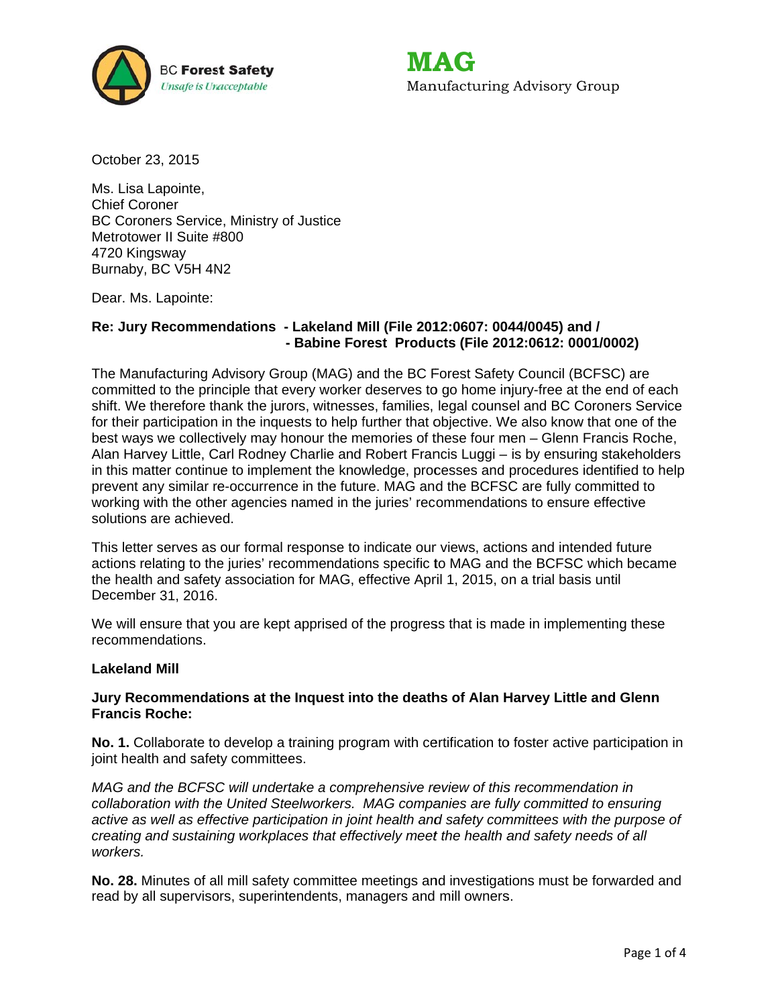

MAG Manufacturing Advisory Group

October 23, 2015

Ms. Lisa Lapointe, **Chief Coroner** BC Coroners Service, Ministry of Justice Metrotower II Suite #800 4720 Kingsway Burnaby, BC V5H 4N2

Dear. Ms. Lapointe:

# Re: Jury Recommendations - Lakeland Mill (File 2012:0607: 0044/0045) and / - Babine Forest Products (File 2012:0612: 0001/0002)

The Manufacturing Advisory Group (MAG) and the BC Forest Safety Council (BCFSC) are committed to the principle that every worker deserves to go home injury-free at the end of each shift. We therefore thank the jurors, witnesses, families, legal counsel and BC Coroners Service for their participation in the inquests to help further that objective. We also know that one of the best ways we collectively may honour the memories of these four men – Glenn Francis Roche, Alan Harvey Little, Carl Rodney Charlie and Robert Francis Luggi - is by ensuring stakeholders in this matter continue to implement the knowledge, processes and procedures identified to help prevent any similar re-occurrence in the future. MAG and the BCFSC are fully committed to working with the other agencies named in the juries' recommendations to ensure effective solutions are achieved.

This letter serves as our formal response to indicate our views, actions and intended future actions relating to the juries' recommendations specific to MAG and the BCFSC which became the health and safety association for MAG, effective April 1, 2015, on a trial basis until December 31, 2016.

We will ensure that you are kept apprised of the progress that is made in implementing these recommendations.

### **Lakeland Mill**

#### Jury Recommendations at the Inquest into the deaths of Alan Harvey Little and Glenn **Francis Roche:**

No. 1. Collaborate to develop a training program with certification to foster active participation in joint health and safety committees.

MAG and the BCFSC will undertake a comprehensive review of this recommendation in collaboration with the United Steelworkers. MAG companies are fully committed to ensuring active as well as effective participation in joint health and safety committees with the purpose of creating and sustaining workplaces that effectively meet the health and safety needs of all workers.

No. 28. Minutes of all mill safety committee meetings and investigations must be forwarded and read by all supervisors, superintendents, managers and mill owners.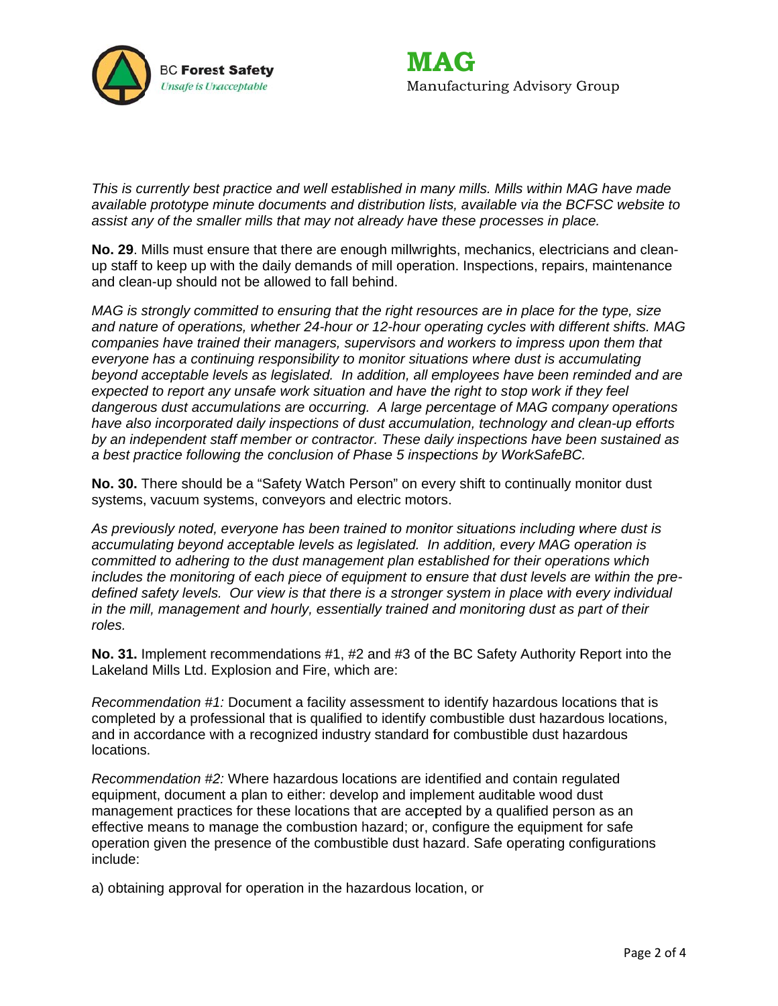



*This is currently best practice and well established in many mills. Mills within MAG have made available prototype minute documents and distribution lists, available via the BCFSC website to assist any of the smaller mills that may not already have these processes in place.* 

No. 29. Mills must ensure that there are enough millwrights, mechanics, electricians and cleanup staff to keep up with the daily demands of mill operation. Inspections, repairs, maintenance and clean-up should not be allowed to fall behind.

*MAG* is strongly committed to ensuring that the right resources are in place for the type, size and nature of operations, whether 24-hour or 12-hour operating cycles with different shifts. MAG *companies have trained their managers, supervisors and workers to impress upon them that everyone has a continuing responsibility to monitor situations where dust is accumulating beyond acceptable levels as legislated. In addition, all employees have been reminded and are expected to report any unsafe work situation and have the right to stop work if they feel* dangerous dust accumulations are occurring. A large percentage of MAG company operations have also incorporated daily inspections of dust accumulation, technology and clean-up efforts by an independent staff member or contractor. These daily inspections have been sustained as a best practice following the conclusion of Phase 5 inspections by WorkSafeBC.

No. 30. There should be a "Safety Watch Person" on every shift to continually monitor dust systems, vacuum systems, conveyors and electric motors.

As previously noted, everyone has been trained to monitor situations including where dust is accumulating beyond acceptable levels as legislated. In addition, every MAG operation is *committed to adhering to the dust management plan established for their operations which* includes the monitoring of each piece of equipment to ensure that dust levels are within the pre*defined safety levels. Our view is that there is a stronger system in place with every individual in the mill, management and hourly, essentially trained and monitoring dust as part of their roles.* 

No. 31. Implement recommendations #1, #2 and #3 of the BC Safety Authority Report into the Lakeland Mills Ltd. Explosion and Fire, which are:

*Recommendation* #1: Document a facility assessment to identify hazardous locations that is completed by a professional that is qualified to identify combustible dust hazardous locations, and in accordance with a recognized industry standard for combustible dust hazardous locations.

Recommendation #2: Where hazardous locations are identified and contain regulated equipment, document a plan to either: develop and implement auditable wood dust management practices for these locations that are accepted by a qualified person as an effective means to manage the combustion hazard; or, configure the equipment for safe operation given the presence of the combustible dust hazard. Safe operating configurations include:

a) obtaining approval for operation in the hazardous location, or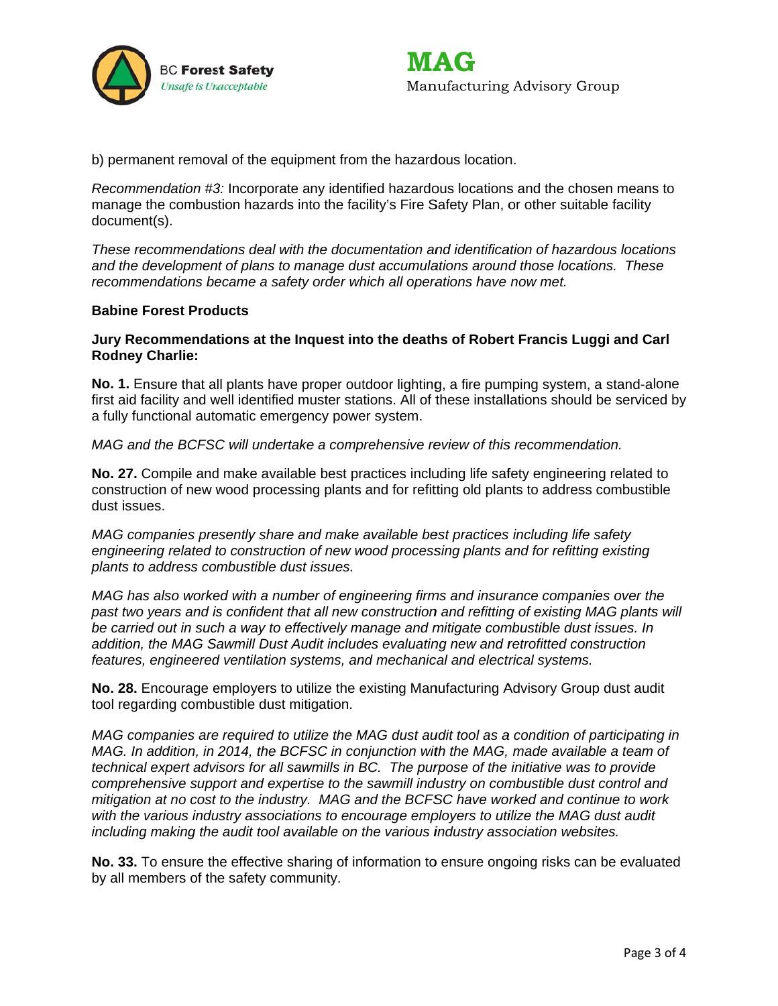



b) permanent removal of the equipment from the hazardous location.

Recommendation #3: Incorporate any identified hazardous locations and the chosen means to manage the combustion hazards into the facility's Fire Safety Plan, or other suitable facility document(s).

These recommendations deal with the documentation and identification of hazardous locations and the development of plans to manage dust accumulations around those locations. These recommendations became a safety order which all operations have now met.

#### **Babine Forest Products**

## Jury Recommendations at the Inquest into the deaths of Robert Francis Luggi and Carl **Rodney Charlie:**

No. 1. Ensure that all plants have proper outdoor lighting, a fire pumping system, a stand-alone first aid facility and well identified muster stations. All of these installations should be serviced by a fully functional automatic emergency power system.

MAG and the BCFSC will undertake a comprehensive review of this recommendation.

No. 27. Compile and make available best practices including life safety engineering related to construction of new wood processing plants and for refitting old plants to address combustible dust issues.

MAG companies presently share and make available best practices including life safety engineering related to construction of new wood processing plants and for refitting existing plants to address combustible dust issues.

MAG has also worked with a number of engineering firms and insurance companies over the past two years and is confident that all new construction and refitting of existing MAG plants will be carried out in such a way to effectively manage and mitigate combustible dust issues. In addition, the MAG Sawmill Dust Audit includes evaluating new and retrofitted construction features, engineered ventilation systems, and mechanical and electrical systems.

No. 28. Encourage employers to utilize the existing Manufacturing Advisory Group dust audit tool regarding combustible dust mitigation.

MAG companies are required to utilize the MAG dust audit tool as a condition of participating in MAG. In addition, in 2014, the BCFSC in conjunction with the MAG, made available a team of technical expert advisors for all sawmills in BC. The purpose of the initiative was to provide comprehensive support and expertise to the sawmill industry on combustible dust control and mitigation at no cost to the industry. MAG and the BCFSC have worked and continue to work with the various industry associations to encourage employers to utilize the MAG dust audit including making the audit tool available on the various industry association websites.

No. 33. To ensure the effective sharing of information to ensure ongoing risks can be evaluated by all members of the safety community.